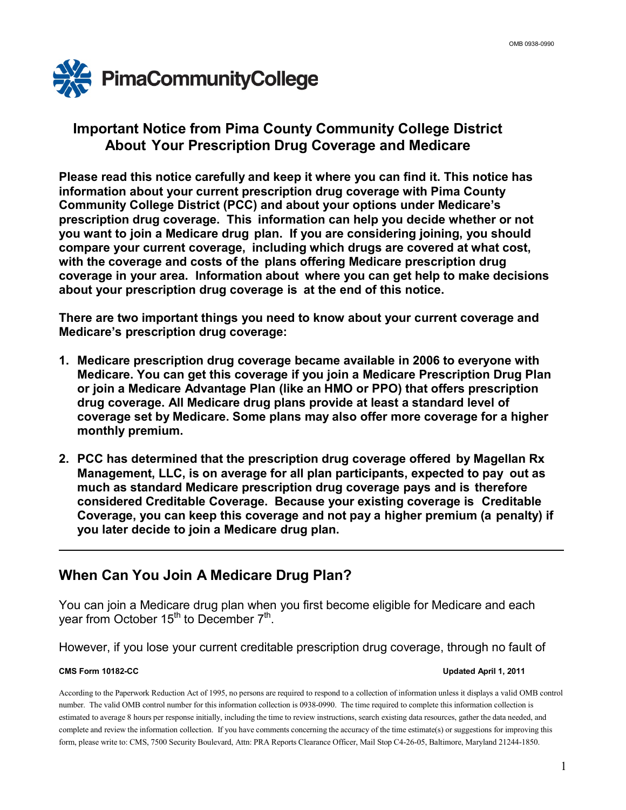

## **Important Notice from Pima County Community College District About Your Prescription Drug Coverage and Medicare**

**Please read this notice carefully and keep it where you can find it. This notice has information about your current prescription drug coverage with Pima County Community College District (PCC) and about your options under Medicare's prescription drug coverage. This information can help you decide whether or not you want to join a Medicare drug plan. If you are considering joining, you should compare your current coverage, including which drugs are covered at what cost, with the coverage and costs of the plans offering Medicare prescription drug coverage in your area. Information about where you can get help to make decisions about your prescription drug coverage is at the end of this notice.**

**There are two important things you need to know about your current coverage and Medicare's prescription drug coverage:**

- **1. Medicare prescription drug coverage became available in 2006 to everyone with Medicare. You can get this coverage if you join a Medicare Prescription Drug Plan or join a Medicare Advantage Plan (like an HMO or PPO) that offers prescription drug coverage. All Medicare drug plans provide at least a standard level of coverage set by Medicare. Some plans may also offer more coverage for a higher monthly premium.**
- **2. PCC has determined that the prescription drug coverage offered by Magellan Rx Management, LLC, is on average for all plan participants, expected to pay out as much as standard Medicare prescription drug coverage pays and is therefore considered Creditable Coverage. Because your existing coverage is Creditable Coverage, you can keep this coverage and not pay a higher premium (a penalty) if you later decide to join a Medicare drug plan.**

# **When Can You Join A Medicare Drug Plan?**

You can join a Medicare drug plan when you first become eligible for Medicare and each year from October  $15^{th}$  to December  $7^{th}$ .

However, if you lose your current creditable prescription drug coverage, through no fault of

## **CMS Form 10182-CC Updated April 1, 2011**

According to the Paperwork Reduction Act of 1995, no persons are required to respond to a collection of information unless it displays a valid OMB control number. The valid OMB control number for this information collection is 0938-0990. The time required to complete this information collection is estimated to average 8 hours per response initially, including the time to review instructions, search existing data resources, gather the data needed, and complete and review the information collection. If you have comments concerning the accuracy of the time estimate(s) or suggestions for improving this form, please write to: CMS, 7500 Security Boulevard, Attn: PRA Reports Clearance Officer, Mail Stop C4-26-05, Baltimore, Maryland 21244-1850.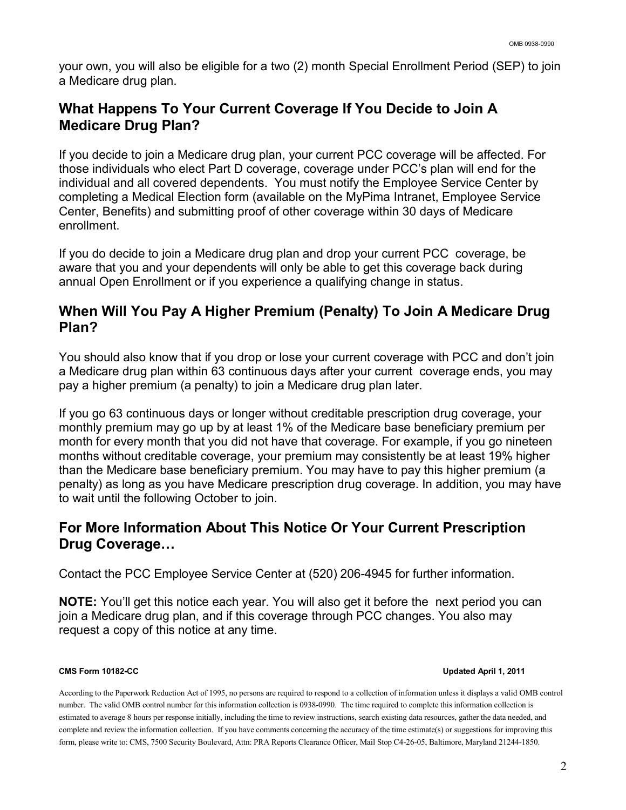your own, you will also be eligible for a two (2) month Special Enrollment Period (SEP) to join a Medicare drug plan.

# **What Happens To Your Current Coverage If You Decide to Join A Medicare Drug Plan?**

If you decide to join a Medicare drug plan, your current PCC coverage will be affected. For those individuals who elect Part D coverage, coverage under PCC's plan will end for the individual and all covered dependents. You must notify the Employee Service Center by completing a Medical Election form (available on the MyPima Intranet, Employee Service Center, Benefits) and submitting proof of other coverage within 30 days of Medicare enrollment.

If you do decide to join a Medicare drug plan and drop your current PCC coverage, be aware that you and your dependents will only be able to get this coverage back during annual Open Enrollment or if you experience a qualifying change in status.

# **When Will You Pay A Higher Premium (Penalty) To Join A Medicare Drug Plan?**

You should also know that if you drop or lose your current coverage with PCC and don't join a Medicare drug plan within 63 continuous days after your current coverage ends, you may pay a higher premium (a penalty) to join a Medicare drug plan later.

If you go 63 continuous days or longer without creditable prescription drug coverage, your monthly premium may go up by at least 1% of the Medicare base beneficiary premium per month for every month that you did not have that coverage. For example, if you go nineteen months without creditable coverage, your premium may consistently be at least 19% higher than the Medicare base beneficiary premium. You may have to pay this higher premium (a penalty) as long as you have Medicare prescription drug coverage. In addition, you may have to wait until the following October to join.

# **For More Information About This Notice Or Your Current Prescription Drug Coverage…**

Contact the PCC Employee Service Center at (520) 206-4945 for further information.

**NOTE:** You'll get this notice each year. You will also get it before the next period you can join a Medicare drug plan, and if this coverage through PCC changes. You also may request a copy of this notice at any time.

## **CMS Form 10182-CC Updated April 1, 2011**

According to the Paperwork Reduction Act of 1995, no persons are required to respond to a collection of information unless it displays a valid OMB control number. The valid OMB control number for this information collection is 0938-0990. The time required to complete this information collection is estimated to average 8 hours per response initially, including the time to review instructions, search existing data resources, gather the data needed, and complete and review the information collection. If you have comments concerning the accuracy of the time estimate(s) or suggestions for improving this form, please write to: CMS, 7500 Security Boulevard, Attn: PRA Reports Clearance Officer, Mail Stop C4-26-05, Baltimore, Maryland 21244-1850.